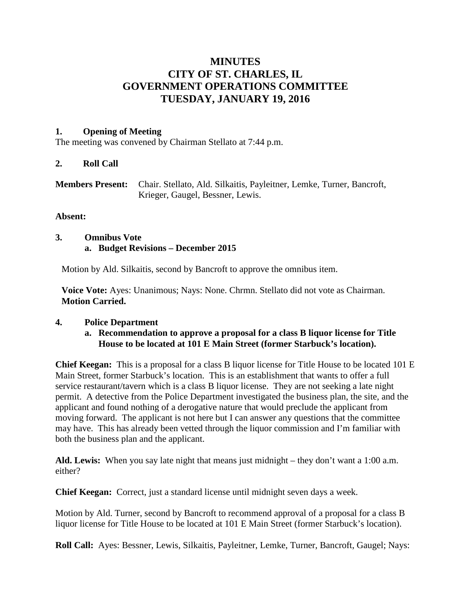# **MINUTES CITY OF ST. CHARLES, IL GOVERNMENT OPERATIONS COMMITTEE TUESDAY, JANUARY 19, 2016**

#### **1. Opening of Meeting**

The meeting was convened by Chairman Stellato at 7:44 p.m.

#### **2. Roll Call**

| <b>Members Present:</b> Chair. Stellato, Ald. Silkaitis, Payleitner, Lemke, Turner, Bancroft, |
|-----------------------------------------------------------------------------------------------|
| Krieger, Gaugel, Bessner, Lewis.                                                              |

#### **Absent:**

#### **3. Omnibus Vote a. Budget Revisions – December 2015**

Motion by Ald. Silkaitis, second by Bancroft to approve the omnibus item.

**Voice Vote:** Ayes: Unanimous; Nays: None. Chrmn. Stellato did not vote as Chairman. **Motion Carried.**

# **4. Police Department**

#### **a. Recommendation to approve a proposal for a class B liquor license for Title House to be located at 101 E Main Street (former Starbuck's location).**

**Chief Keegan:** This is a proposal for a class B liquor license for Title House to be located 101 E Main Street, former Starbuck's location. This is an establishment that wants to offer a full service restaurant/tavern which is a class B liquor license. They are not seeking a late night permit. A detective from the Police Department investigated the business plan, the site, and the applicant and found nothing of a derogative nature that would preclude the applicant from moving forward. The applicant is not here but I can answer any questions that the committee may have. This has already been vetted through the liquor commission and I'm familiar with both the business plan and the applicant.

**Ald. Lewis:** When you say late night that means just midnight – they don't want a 1:00 a.m. either?

**Chief Keegan:** Correct, just a standard license until midnight seven days a week.

Motion by Ald. Turner, second by Bancroft to recommend approval of a proposal for a class B liquor license for Title House to be located at 101 E Main Street (former Starbuck's location).

**Roll Call:** Ayes: Bessner, Lewis, Silkaitis, Payleitner, Lemke, Turner, Bancroft, Gaugel; Nays: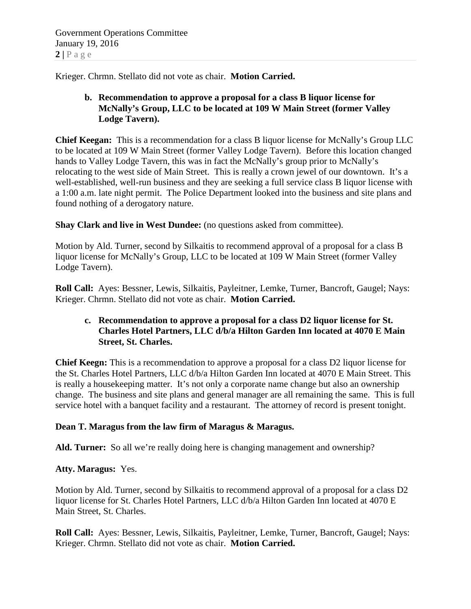Krieger. Chrmn. Stellato did not vote as chair. **Motion Carried.**

# **b. Recommendation to approve a proposal for a class B liquor license for McNally's Group, LLC to be located at 109 W Main Street (former Valley Lodge Tavern).**

**Chief Keegan:** This is a recommendation for a class B liquor license for McNally's Group LLC to be located at 109 W Main Street (former Valley Lodge Tavern). Before this location changed hands to Valley Lodge Tavern, this was in fact the McNally's group prior to McNally's relocating to the west side of Main Street. This is really a crown jewel of our downtown. It's a well-established, well-run business and they are seeking a full service class B liquor license with a 1:00 a.m. late night permit. The Police Department looked into the business and site plans and found nothing of a derogatory nature.

**Shay Clark and live in West Dundee:** (no questions asked from committee).

Motion by Ald. Turner, second by Silkaitis to recommend approval of a proposal for a class B liquor license for McNally's Group, LLC to be located at 109 W Main Street (former Valley Lodge Tavern).

**Roll Call:** Ayes: Bessner, Lewis, Silkaitis, Payleitner, Lemke, Turner, Bancroft, Gaugel; Nays: Krieger. Chrmn. Stellato did not vote as chair. **Motion Carried.**

# **c. Recommendation to approve a proposal for a class D2 liquor license for St. Charles Hotel Partners, LLC d/b/a Hilton Garden Inn located at 4070 E Main Street, St. Charles.**

**Chief Keegn:** This is a recommendation to approve a proposal for a class D2 liquor license for the St. Charles Hotel Partners, LLC d/b/a Hilton Garden Inn located at 4070 E Main Street. This is really a housekeeping matter. It's not only a corporate name change but also an ownership change. The business and site plans and general manager are all remaining the same. This is full service hotel with a banquet facility and a restaurant. The attorney of record is present tonight.

# **Dean T. Maragus from the law firm of Maragus & Maragus.**

**Ald. Turner:** So all we're really doing here is changing management and ownership?

# **Atty. Maragus:** Yes.

Motion by Ald. Turner, second by Silkaitis to recommend approval of a proposal for a class D2 liquor license for St. Charles Hotel Partners, LLC d/b/a Hilton Garden Inn located at 4070 E Main Street, St. Charles.

**Roll Call:** Ayes: Bessner, Lewis, Silkaitis, Payleitner, Lemke, Turner, Bancroft, Gaugel; Nays: Krieger. Chrmn. Stellato did not vote as chair. **Motion Carried.**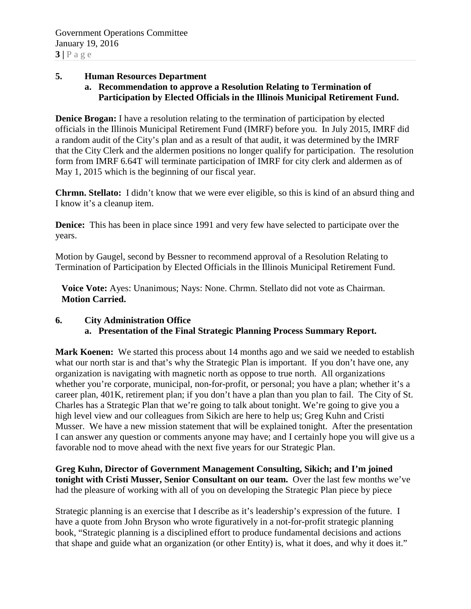#### **5. Human Resources Department**

**a. Recommendation to approve a Resolution Relating to Termination of Participation by Elected Officials in the Illinois Municipal Retirement Fund.**

**Denice Brogan:** I have a resolution relating to the termination of participation by elected officials in the Illinois Municipal Retirement Fund (IMRF) before you. In July 2015, IMRF did a random audit of the City's plan and as a result of that audit, it was determined by the IMRF that the City Clerk and the aldermen positions no longer qualify for participation. The resolution form from IMRF 6.64T will terminate participation of IMRF for city clerk and aldermen as of May 1, 2015 which is the beginning of our fiscal year.

**Chrmn. Stellato:** I didn't know that we were ever eligible, so this is kind of an absurd thing and I know it's a cleanup item.

**Denice:** This has been in place since 1991 and very few have selected to participate over the years.

Motion by Gaugel, second by Bessner to recommend approval of a Resolution Relating to Termination of Participation by Elected Officials in the Illinois Municipal Retirement Fund.

**Voice Vote:** Ayes: Unanimous; Nays: None. Chrmn. Stellato did not vote as Chairman. **Motion Carried.**

#### **6. City Administration Office a. Presentation of the Final Strategic Planning Process Summary Report.**

**Mark Koenen:** We started this process about 14 months ago and we said we needed to establish what our north star is and that's why the Strategic Plan is important. If you don't have one, any organization is navigating with magnetic north as oppose to true north. All organizations whether you're corporate, municipal, non-for-profit, or personal; you have a plan; whether it's a career plan, 401K, retirement plan; if you don't have a plan than you plan to fail. The City of St. Charles has a Strategic Plan that we're going to talk about tonight. We're going to give you a high level view and our colleagues from Sikich are here to help us; Greg Kuhn and Cristi Musser. We have a new mission statement that will be explained tonight. After the presentation I can answer any question or comments anyone may have; and I certainly hope you will give us a favorable nod to move ahead with the next five years for our Strategic Plan.

**Greg Kuhn, Director of Government Management Consulting, Sikich; and I'm joined tonight with Cristi Musser, Senior Consultant on our team.** Over the last few months we've had the pleasure of working with all of you on developing the Strategic Plan piece by piece

Strategic planning is an exercise that I describe as it's leadership's expression of the future. I have a quote from John Bryson who wrote figuratively in a not-for-profit strategic planning book, "Strategic planning is a disciplined effort to produce fundamental decisions and actions that shape and guide what an organization (or other Entity) is, what it does, and why it does it."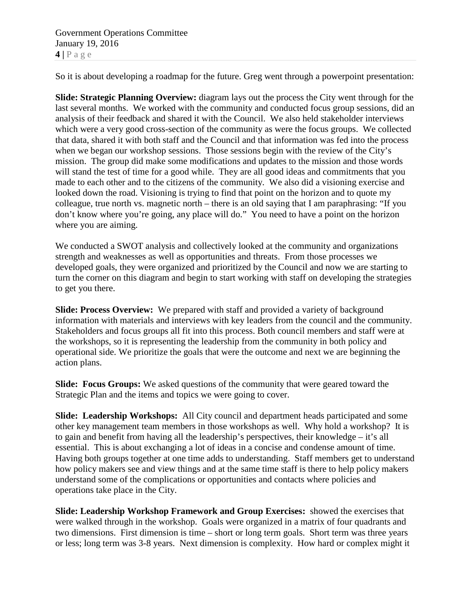Government Operations Committee January 19, 2016  $4 | P \text{ a } \text{ g } e$ 

So it is about developing a roadmap for the future. Greg went through a powerpoint presentation:

**Slide: Strategic Planning Overview:** diagram lays out the process the City went through for the last several months. We worked with the community and conducted focus group sessions, did an analysis of their feedback and shared it with the Council. We also held stakeholder interviews which were a very good cross-section of the community as were the focus groups. We collected that data, shared it with both staff and the Council and that information was fed into the process when we began our workshop sessions. Those sessions begin with the review of the City's mission. The group did make some modifications and updates to the mission and those words will stand the test of time for a good while. They are all good ideas and commitments that you made to each other and to the citizens of the community. We also did a visioning exercise and looked down the road. Visioning is trying to find that point on the horizon and to quote my colleague, true north vs. magnetic north – there is an old saying that I am paraphrasing: "If you don't know where you're going, any place will do." You need to have a point on the horizon where you are aiming.

We conducted a SWOT analysis and collectively looked at the community and organizations strength and weaknesses as well as opportunities and threats. From those processes we developed goals, they were organized and prioritized by the Council and now we are starting to turn the corner on this diagram and begin to start working with staff on developing the strategies to get you there.

**Slide: Process Overview:** We prepared with staff and provided a variety of background information with materials and interviews with key leaders from the council and the community. Stakeholders and focus groups all fit into this process. Both council members and staff were at the workshops, so it is representing the leadership from the community in both policy and operational side. We prioritize the goals that were the outcome and next we are beginning the action plans.

**Slide: Focus Groups:** We asked questions of the community that were geared toward the Strategic Plan and the items and topics we were going to cover.

**Slide: Leadership Workshops:** All City council and department heads participated and some other key management team members in those workshops as well. Why hold a workshop? It is to gain and benefit from having all the leadership's perspectives, their knowledge – it's all essential. This is about exchanging a lot of ideas in a concise and condense amount of time. Having both groups together at one time adds to understanding. Staff members get to understand how policy makers see and view things and at the same time staff is there to help policy makers understand some of the complications or opportunities and contacts where policies and operations take place in the City.

**Slide: Leadership Workshop Framework and Group Exercises:** showed the exercises that were walked through in the workshop. Goals were organized in a matrix of four quadrants and two dimensions. First dimension is time – short or long term goals. Short term was three years or less; long term was 3-8 years. Next dimension is complexity. How hard or complex might it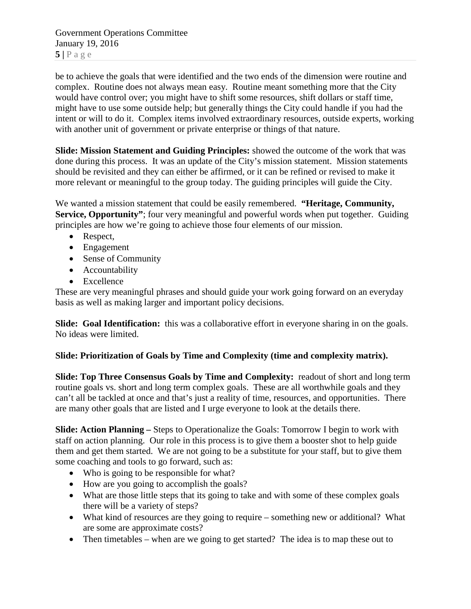Government Operations Committee January 19, 2016  $5|$   $P$  a g e

be to achieve the goals that were identified and the two ends of the dimension were routine and complex. Routine does not always mean easy. Routine meant something more that the City would have control over; you might have to shift some resources, shift dollars or staff time, might have to use some outside help; but generally things the City could handle if you had the intent or will to do it. Complex items involved extraordinary resources, outside experts, working with another unit of government or private enterprise or things of that nature.

**Slide: Mission Statement and Guiding Principles:** showed the outcome of the work that was done during this process. It was an update of the City's mission statement. Mission statements should be revisited and they can either be affirmed, or it can be refined or revised to make it more relevant or meaningful to the group today. The guiding principles will guide the City.

We wanted a mission statement that could be easily remembered. **"Heritage, Community, Service, Opportunity"**; four very meaningful and powerful words when put together. Guiding principles are how we're going to achieve those four elements of our mission.

- Respect,
- Engagement
- Sense of Community
- Accountability
- Excellence

These are very meaningful phrases and should guide your work going forward on an everyday basis as well as making larger and important policy decisions.

**Slide: Goal Identification:** this was a collaborative effort in everyone sharing in on the goals. No ideas were limited.

# **Slide: Prioritization of Goals by Time and Complexity (time and complexity matrix).**

**Slide: Top Three Consensus Goals by Time and Complexity:** readout of short and long term routine goals vs. short and long term complex goals. These are all worthwhile goals and they can't all be tackled at once and that's just a reality of time, resources, and opportunities. There are many other goals that are listed and I urge everyone to look at the details there.

**Slide: Action Planning –** Steps to Operationalize the Goals: Tomorrow I begin to work with staff on action planning. Our role in this process is to give them a booster shot to help guide them and get them started. We are not going to be a substitute for your staff, but to give them some coaching and tools to go forward, such as:

- Who is going to be responsible for what?
- How are you going to accomplish the goals?
- What are those little steps that its going to take and with some of these complex goals there will be a variety of steps?
- What kind of resources are they going to require something new or additional? What are some are approximate costs?
- Then timetables when are we going to get started? The idea is to map these out to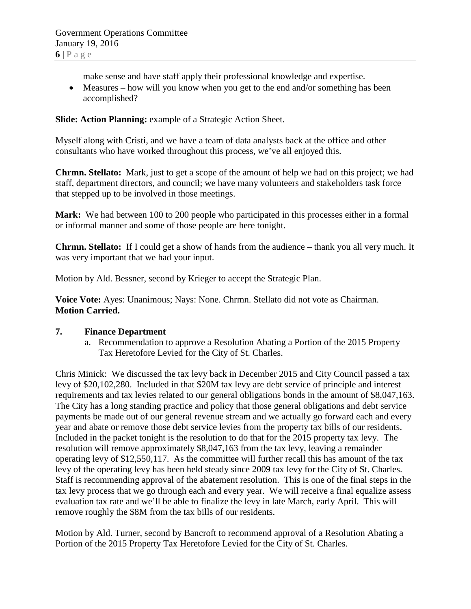make sense and have staff apply their professional knowledge and expertise.

• Measures – how will you know when you get to the end and/or something has been accomplished?

**Slide: Action Planning:** example of a Strategic Action Sheet.

Myself along with Cristi, and we have a team of data analysts back at the office and other consultants who have worked throughout this process, we've all enjoyed this.

**Chrmn. Stellato:** Mark, just to get a scope of the amount of help we had on this project; we had staff, department directors, and council; we have many volunteers and stakeholders task force that stepped up to be involved in those meetings.

**Mark:** We had between 100 to 200 people who participated in this processes either in a formal or informal manner and some of those people are here tonight.

**Chrmn. Stellato:** If I could get a show of hands from the audience – thank you all very much. It was very important that we had your input.

Motion by Ald. Bessner, second by Krieger to accept the Strategic Plan.

**Voice Vote:** Ayes: Unanimous; Nays: None. Chrmn. Stellato did not vote as Chairman. **Motion Carried.**

#### **7. Finance Department**

a. Recommendation to approve a Resolution Abating a Portion of the 2015 Property Tax Heretofore Levied for the City of St. Charles.

Chris Minick: We discussed the tax levy back in December 2015 and City Council passed a tax levy of \$20,102,280. Included in that \$20M tax levy are debt service of principle and interest requirements and tax levies related to our general obligations bonds in the amount of \$8,047,163. The City has a long standing practice and policy that those general obligations and debt service payments be made out of our general revenue stream and we actually go forward each and every year and abate or remove those debt service levies from the property tax bills of our residents. Included in the packet tonight is the resolution to do that for the 2015 property tax levy. The resolution will remove approximately \$8,047,163 from the tax levy, leaving a remainder operating levy of \$12,550,117. As the committee will further recall this has amount of the tax levy of the operating levy has been held steady since 2009 tax levy for the City of St. Charles. Staff is recommending approval of the abatement resolution. This is one of the final steps in the tax levy process that we go through each and every year. We will receive a final equalize assess evaluation tax rate and we'll be able to finalize the levy in late March, early April. This will remove roughly the \$8M from the tax bills of our residents.

Motion by Ald. Turner, second by Bancroft to recommend approval of a Resolution Abating a Portion of the 2015 Property Tax Heretofore Levied for the City of St. Charles.